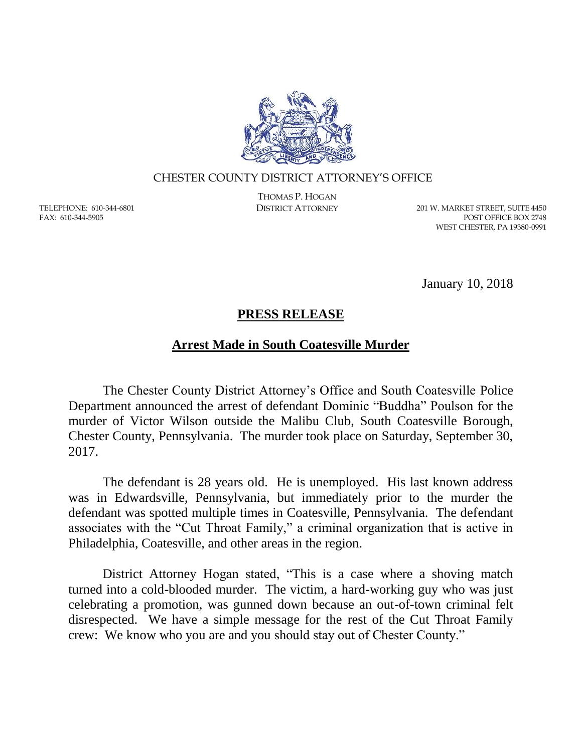

## CHESTER COUNTY DISTRICT ATTORNEY'S OFFICE

TELEPHONE: 610-344-6801 FAX: 610-344-5905

THOMAS P. HOGAN

DISTRICT ATTORNEY 201 W. MARKET STREET, SUITE 4450 POST OFFICE BOX 2748 WEST CHESTER, PA 19380-0991

January 10, 2018

## **PRESS RELEASE**

## **Arrest Made in South Coatesville Murder**

The Chester County District Attorney's Office and South Coatesville Police Department announced the arrest of defendant Dominic "Buddha" Poulson for the murder of Victor Wilson outside the Malibu Club, South Coatesville Borough, Chester County, Pennsylvania. The murder took place on Saturday, September 30, 2017.

The defendant is 28 years old. He is unemployed. His last known address was in Edwardsville, Pennsylvania, but immediately prior to the murder the defendant was spotted multiple times in Coatesville, Pennsylvania. The defendant associates with the "Cut Throat Family," a criminal organization that is active in Philadelphia, Coatesville, and other areas in the region.

District Attorney Hogan stated, "This is a case where a shoving match turned into a cold-blooded murder. The victim, a hard-working guy who was just celebrating a promotion, was gunned down because an out-of-town criminal felt disrespected. We have a simple message for the rest of the Cut Throat Family crew: We know who you are and you should stay out of Chester County."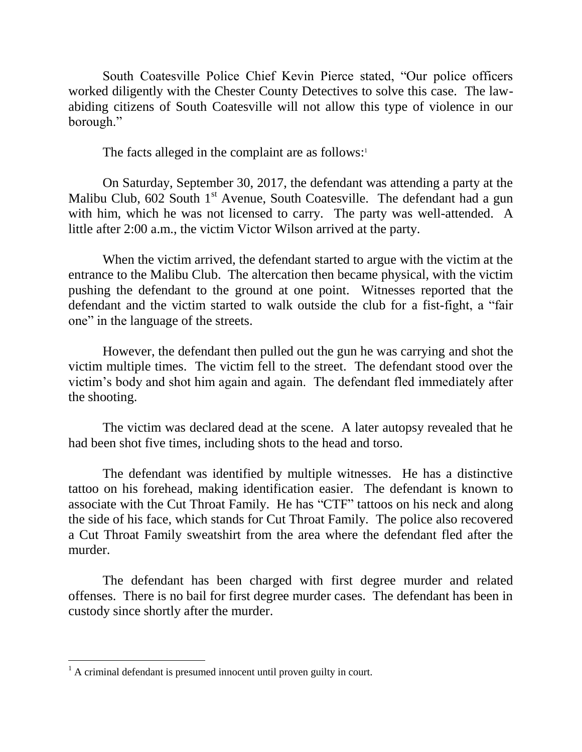South Coatesville Police Chief Kevin Pierce stated, "Our police officers worked diligently with the Chester County Detectives to solve this case. The lawabiding citizens of South Coatesville will not allow this type of violence in our borough."

The facts alleged in the complaint are as follows:<sup>1</sup>

On Saturday, September 30, 2017, the defendant was attending a party at the Malibu Club,  $602$  South  $1<sup>st</sup>$  Avenue, South Coatesville. The defendant had a gun with him, which he was not licensed to carry. The party was well-attended. A little after 2:00 a.m., the victim Victor Wilson arrived at the party.

When the victim arrived, the defendant started to argue with the victim at the entrance to the Malibu Club. The altercation then became physical, with the victim pushing the defendant to the ground at one point. Witnesses reported that the defendant and the victim started to walk outside the club for a fist-fight, a "fair one" in the language of the streets.

However, the defendant then pulled out the gun he was carrying and shot the victim multiple times. The victim fell to the street. The defendant stood over the victim's body and shot him again and again. The defendant fled immediately after the shooting.

The victim was declared dead at the scene. A later autopsy revealed that he had been shot five times, including shots to the head and torso.

The defendant was identified by multiple witnesses. He has a distinctive tattoo on his forehead, making identification easier. The defendant is known to associate with the Cut Throat Family. He has "CTF" tattoos on his neck and along the side of his face, which stands for Cut Throat Family. The police also recovered a Cut Throat Family sweatshirt from the area where the defendant fled after the murder.

The defendant has been charged with first degree murder and related offenses. There is no bail for first degree murder cases. The defendant has been in custody since shortly after the murder.

 $\overline{a}$ 

 $<sup>1</sup>$  A criminal defendant is presumed innocent until proven guilty in court.</sup>